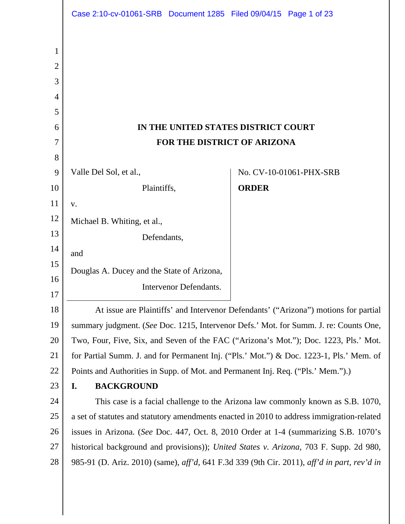|                | Case 2:10-cv-01061-SRB Document 1285 Filed 09/04/15 Page 1 of 23                               |                                                                                     |
|----------------|------------------------------------------------------------------------------------------------|-------------------------------------------------------------------------------------|
|                |                                                                                                |                                                                                     |
| 1              |                                                                                                |                                                                                     |
| $\overline{2}$ |                                                                                                |                                                                                     |
| 3              |                                                                                                |                                                                                     |
| 4<br>5         |                                                                                                |                                                                                     |
| 6              | IN THE UNITED STATES DISTRICT COURT                                                            |                                                                                     |
| 7              | FOR THE DISTRICT OF ARIZONA                                                                    |                                                                                     |
| 8              |                                                                                                |                                                                                     |
| 9              | Valle Del Sol, et al.,                                                                         | No. CV-10-01061-PHX-SRB                                                             |
| 10             | Plaintiffs,                                                                                    | <b>ORDER</b>                                                                        |
| 11             | V.                                                                                             |                                                                                     |
| 12             | Michael B. Whiting, et al.,                                                                    |                                                                                     |
| 13             | Defendants,                                                                                    |                                                                                     |
| 14             | and                                                                                            |                                                                                     |
| 15             | Douglas A. Ducey and the State of Arizona,                                                     |                                                                                     |
| 16<br>17       | <b>Intervenor Defendants.</b>                                                                  |                                                                                     |
| 18             |                                                                                                | At issue are Plaintiffs' and Intervenor Defendants' ("Arizona") motions for partial |
| 19             | summary judgment. (See Doc. 1215, Intervenor Defs.' Mot. for Summ. J. re: Counts One,          |                                                                                     |
| 20             | Two, Four, Five, Six, and Seven of the FAC ("Arizona's Mot."); Doc. 1223, Pls.' Mot.           |                                                                                     |
| 21             | for Partial Summ. J. and for Permanent Inj. ("Pls.' Mot.") & Doc. 1223-1, Pls.' Mem. of        |                                                                                     |
| 22             | Points and Authorities in Supp. of Mot. and Permanent Inj. Req. ("Pls.' Mem.").)               |                                                                                     |
| 23             | <b>BACKGROUND</b><br>I.                                                                        |                                                                                     |
| 24             | This case is a facial challenge to the Arizona law commonly known as S.B. 1070,                |                                                                                     |
| 25             | a set of statutes and statutory amendments enacted in 2010 to address immigration-related      |                                                                                     |
| 26             | issues in Arizona. (See Doc. 447, Oct. 8, 2010 Order at 1-4 (summarizing S.B. 1070's           |                                                                                     |
| 27             | historical background and provisions)); <i>United States v. Arizona</i> , 703 F. Supp. 2d 980, |                                                                                     |
| 28             | 985-91 (D. Ariz. 2010) (same), aff'd, 641 F.3d 339 (9th Cir. 2011), aff'd in part, rev'd in    |                                                                                     |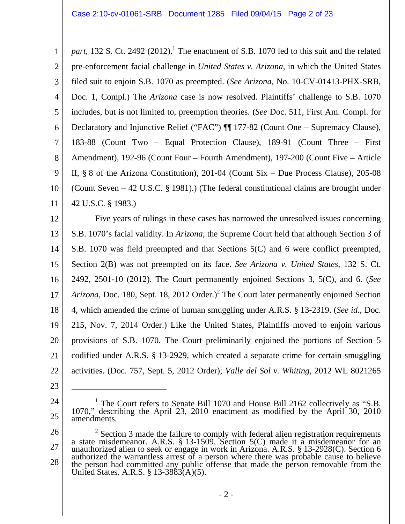1 2 3 4 5 6 7 8 9 10 11 part, 132 S. Ct. 2492  $(2012)$ .<sup>1</sup> The enactment of S.B. 1070 led to this suit and the related pre-enforcement facial challenge in *United States v. Arizona*, in which the United States filed suit to enjoin S.B. 1070 as preempted. (*See Arizona*, No. 10-CV-01413-PHX-SRB, Doc. 1, Compl.) The *Arizona* case is now resolved. Plaintiffs' challenge to S.B. 1070 includes, but is not limited to, preemption theories. (*See* Doc. 511, First Am. Compl. for Declaratory and Injunctive Relief ("FAC") ¶¶ 177-82 (Count One – Supremacy Clause), 183-88 (Count Two – Equal Protection Clause), 189-91 (Count Three – First Amendment), 192-96 (Count Four – Fourth Amendment), 197-200 (Count Five – Article II, § 8 of the Arizona Constitution), 201-04 (Count Six – Due Process Clause), 205-08 (Count Seven – 42 U.S.C. § 1981).) (The federal constitutional claims are brought under 42 U.S.C. § 1983.)

12 13 14 15 16 17 18 19 20 21 22 Five years of rulings in these cases has narrowed the unresolved issues concerning S.B. 1070's facial validity. In *Arizona*, the Supreme Court held that although Section 3 of S.B. 1070 was field preempted and that Sections 5(C) and 6 were conflict preempted, Section 2(B) was not preempted on its face. *See Arizona v. United States*, 132 S. Ct. 2492, 2501-10 (2012). The Court permanently enjoined Sections 3, 5(C), and 6. (*See*  Arizona, Doc. 180, Sept. 18, 2012 Order.)<sup>2</sup> The Court later permanently enjoined Section 4, which amended the crime of human smuggling under A.R.S. § 13-2319. (*See id.*, Doc. 215, Nov. 7, 2014 Order.) Like the United States, Plaintiffs moved to enjoin various provisions of S.B. 1070. The Court preliminarily enjoined the portions of Section 5 codified under A.R.S. § 13-2929, which created a separate crime for certain smuggling activities. (Doc. 757, Sept. 5, 2012 Order); *Valle del Sol v. Whiting*, 2012 WL 8021265

23

<sup>24</sup>  25 <sup>1</sup> The Court refers to Senate Bill 1070 and House Bill 2162 collectively as "S.B. 1070," describing the April 23, 2010 enactment as modified by the April 30, 2010 amendments.

<sup>26</sup>  27 28 <sup>2</sup> Section 3 made the failure to comply with federal alien registration requirements a state misdemeanor. A.R.S. § 13-1509. Section 5(C) made it a misdemeanor for an unauthorized alien to seek or engage in work in Arizona. A.R.S. § 13-2928(C). Section 6 authorized the warrantless arrest of a person where there was probable cause to believe the person had committed any public offense that made the person removable from the United States. A.R.S. § 13-3883(A)(5).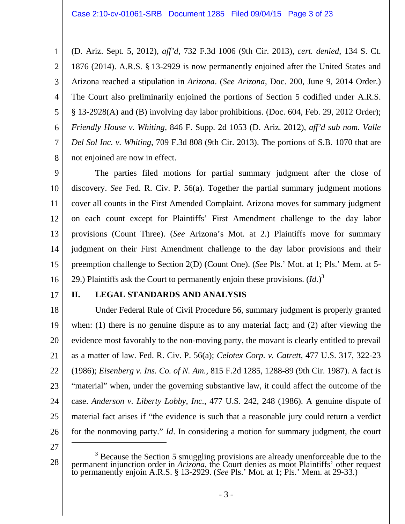1 2 3 4 5 6 7 8 (D. Ariz. Sept. 5, 2012), *aff'd*, 732 F.3d 1006 (9th Cir. 2013), *cert. denied*, 134 S. Ct. 1876 (2014). A.R.S. § 13-2929 is now permanently enjoined after the United States and Arizona reached a stipulation in *Arizona*. (*See Arizona*, Doc. 200, June 9, 2014 Order.) The Court also preliminarily enjoined the portions of Section 5 codified under A.R.S. § 13-2928(A) and (B) involving day labor prohibitions. (Doc. 604, Feb. 29, 2012 Order); *Friendly House v. Whiting*, 846 F. Supp. 2d 1053 (D. Ariz. 2012), *aff'd sub nom. Valle Del Sol Inc. v. Whiting*, 709 F.3d 808 (9th Cir. 2013). The portions of S.B. 1070 that are not enjoined are now in effect.

9 10 11 12 13 14 15 16 The parties filed motions for partial summary judgment after the close of discovery. *See* Fed. R. Civ. P. 56(a). Together the partial summary judgment motions cover all counts in the First Amended Complaint. Arizona moves for summary judgment on each count except for Plaintiffs' First Amendment challenge to the day labor provisions (Count Three). (*See* Arizona's Mot. at 2.) Plaintiffs move for summary judgment on their First Amendment challenge to the day labor provisions and their preemption challenge to Section 2(D) (Count One). (*See* Pls.' Mot. at 1; Pls.' Mem. at 5- 29.) Plaintiffs ask the Court to permanently enjoin these provisions. (*Id.*) 3

17

### **II. LEGAL STANDARDS AND ANALYSIS**

18 19 20 21 22 23 24 25 26 Under Federal Rule of Civil Procedure 56, summary judgment is properly granted when: (1) there is no genuine dispute as to any material fact; and (2) after viewing the evidence most favorably to the non-moving party, the movant is clearly entitled to prevail as a matter of law. Fed. R. Civ. P. 56(a); *Celotex Corp. v. Catrett*, 477 U.S. 317, 322-23 (1986); *Eisenberg v. Ins. Co. of N. Am.*, 815 F.2d 1285, 1288-89 (9th Cir. 1987). A fact is "material" when, under the governing substantive law, it could affect the outcome of the case. *Anderson v. Liberty Lobby, Inc.*, 477 U.S. 242, 248 (1986). A genuine dispute of material fact arises if "the evidence is such that a reasonable jury could return a verdict for the nonmoving party." *Id*. In considering a motion for summary judgment, the court  $\overline{a}$ 

27

<sup>28</sup>  <sup>3</sup> Because the Section 5 smuggling provisions are already unenforceable due to the permanent injunction order in *Arizona*, the Court denies as moot Plaintiffs' other request to permanently enjoin A.R.S. § 13-2929. (*See*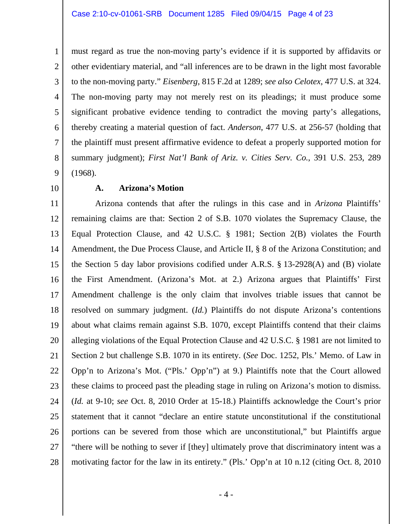1 2 3 4 5 6 7 8 9 must regard as true the non-moving party's evidence if it is supported by affidavits or other evidentiary material, and "all inferences are to be drawn in the light most favorable to the non-moving party." *Eisenberg*, 815 F.2d at 1289; *see also Celotex*, 477 U.S. at 324. The non-moving party may not merely rest on its pleadings; it must produce some significant probative evidence tending to contradict the moving party's allegations, thereby creating a material question of fact. *Anderson*, 477 U.S. at 256-57 (holding that the plaintiff must present affirmative evidence to defeat a properly supported motion for summary judgment); *First Nat'l Bank of Ariz. v. Cities Serv. Co.*, 391 U.S. 253, 289 (1968).

10

### **A. Arizona's Motion**

11 12 13 14 15 16 17 18 19 20 21 22 23 24 25 26 27 28 Arizona contends that after the rulings in this case and in *Arizona* Plaintiffs' remaining claims are that: Section 2 of S.B. 1070 violates the Supremacy Clause, the Equal Protection Clause, and 42 U.S.C. § 1981; Section 2(B) violates the Fourth Amendment, the Due Process Clause, and Article II, § 8 of the Arizona Constitution; and the Section 5 day labor provisions codified under A.R.S. § 13-2928(A) and (B) violate the First Amendment. (Arizona's Mot. at 2.) Arizona argues that Plaintiffs' First Amendment challenge is the only claim that involves triable issues that cannot be resolved on summary judgment. (*Id.*) Plaintiffs do not dispute Arizona's contentions about what claims remain against S.B. 1070, except Plaintiffs contend that their claims alleging violations of the Equal Protection Clause and 42 U.S.C. § 1981 are not limited to Section 2 but challenge S.B. 1070 in its entirety. (*See* Doc. 1252, Pls.' Memo. of Law in Opp'n to Arizona's Mot. ("Pls.' Opp'n") at 9.) Plaintiffs note that the Court allowed these claims to proceed past the pleading stage in ruling on Arizona's motion to dismiss. (*Id.* at 9-10; *see* Oct. 8, 2010 Order at 15-18.) Plaintiffs acknowledge the Court's prior statement that it cannot "declare an entire statute unconstitutional if the constitutional portions can be severed from those which are unconstitutional," but Plaintiffs argue "there will be nothing to sever if [they] ultimately prove that discriminatory intent was a motivating factor for the law in its entirety." (Pls.' Opp'n at 10 n.12 (citing Oct. 8, 2010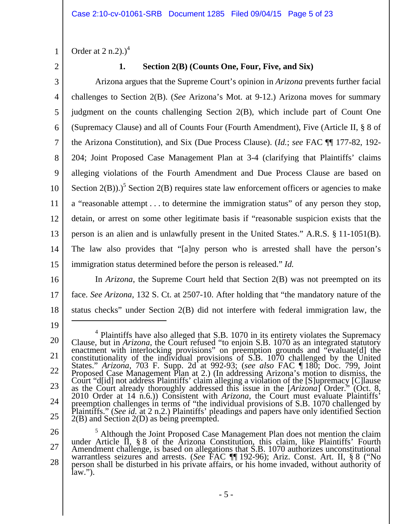Order at  $2 \text{ n.2}$ .)<sup>4</sup>

2

1

### **1. Section 2(B) (Counts One, Four, Five, and Six)**

3 4 5 6 7 8 9 10 11 12 13 14 15 Arizona argues that the Supreme Court's opinion in *Arizona* prevents further facial challenges to Section 2(B). (*See* Arizona's Mot. at 9-12.) Arizona moves for summary judgment on the counts challenging Section 2(B), which include part of Count One (Supremacy Clause) and all of Counts Four (Fourth Amendment), Five (Article II, § 8 of the Arizona Constitution), and Six (Due Process Clause). (*Id.*; *see* FAC ¶¶ 177-82, 192- 204; Joint Proposed Case Management Plan at 3-4 (clarifying that Plaintiffs' claims alleging violations of the Fourth Amendment and Due Process Clause are based on Section  $2(B)$ ).)<sup>5</sup> Section  $2(B)$  requires state law enforcement officers or agencies to make a "reasonable attempt . . . to determine the immigration status" of any person they stop, detain, or arrest on some other legitimate basis if "reasonable suspicion exists that the person is an alien and is unlawfully present in the United States." A.R.S. § 11-1051(B). The law also provides that "[a]ny person who is arrested shall have the person's immigration status determined before the person is released." *Id.*

16

17 18 In *Arizona*, the Supreme Court held that Section 2(B) was not preempted on its face. *See Arizona*, 132 S. Ct. at 2507-10. After holding that "the mandatory nature of the status checks" under Section 2(B) did not interfere with federal immigration law, the

19

<sup>20</sup>  21 22 23 24 25 <sup>4</sup> Plaintiffs have also alleged that S.B. 1070 in its entirety violates the Supremacy Clause, but in *Arizona*, the Court refused "to enjoin S.B. 1070 as an integrated statutory Clause, but in *Artzona*, the Court refused to enjoin 3.b. 1070 as an integrated statutory<br>enactment with interlocking provisions" on preemption grounds and "evaluate[d] the<br>constitutionality of the individual provisions o 2010 Order at 14 n.6.)) Consistent with *Arizona*, the Court must evaluate Plaintiffs' preemption challenges in terms of "the individual provisions of S.B. 1070 challenged by Plaintiffs." (See id. at 2 n.2.) Plaintiffs' pleadings and papers have only identified Section  $2(B)$  and Section  $2(D)$  as being preem

<sup>26</sup>  27 28 <sup>5</sup> Although the Joint Proposed Case Management Plan does not mention the claim <sup>5</sup> Although the Joint Proposed Case Management Plan does not mention the claim under Article II, § 8 of the Arizona Constitution, this claim, like Plaintiffs' Fourth Amendment challenge, is based on allegations that S.B. 1070 authorizes unconstitutional warrantless seizures and arrests. (*See* FAC ¶¶ 192-96); Ariz. Const. Art. II, § 8 ("No person shall be disturbed in his private affairs, or his home invaded, without authority of law.").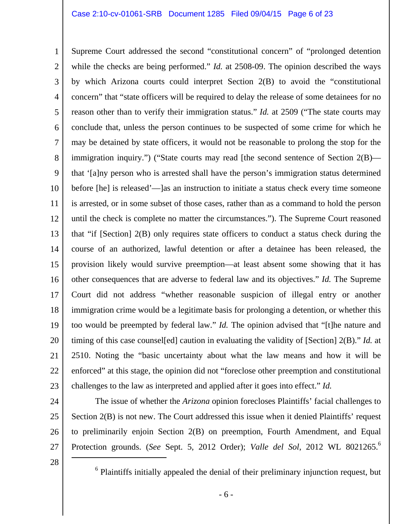1 2 3 4 5 6 7 8 9 10 11 12 13 14 15 16 17 18 19 20 21 22 23 Supreme Court addressed the second "constitutional concern" of "prolonged detention while the checks are being performed." *Id.* at 2508-09. The opinion described the ways by which Arizona courts could interpret Section 2(B) to avoid the "constitutional concern" that "state officers will be required to delay the release of some detainees for no reason other than to verify their immigration status." *Id.* at 2509 ("The state courts may conclude that, unless the person continues to be suspected of some crime for which he may be detained by state officers, it would not be reasonable to prolong the stop for the immigration inquiry.") ("State courts may read [the second sentence of Section 2(B) that '[a]ny person who is arrested shall have the person's immigration status determined before [he] is released'—]as an instruction to initiate a status check every time someone is arrested, or in some subset of those cases, rather than as a command to hold the person until the check is complete no matter the circumstances."). The Supreme Court reasoned that "if [Section] 2(B) only requires state officers to conduct a status check during the course of an authorized, lawful detention or after a detainee has been released, the provision likely would survive preemption—at least absent some showing that it has other consequences that are adverse to federal law and its objectives." *Id.* The Supreme Court did not address "whether reasonable suspicion of illegal entry or another immigration crime would be a legitimate basis for prolonging a detention, or whether this too would be preempted by federal law." *Id.* The opinion advised that "[t]he nature and timing of this case counsel[ed] caution in evaluating the validity of [Section] 2(B)." *Id.* at 2510. Noting the "basic uncertainty about what the law means and how it will be enforced" at this stage, the opinion did not "foreclose other preemption and constitutional challenges to the law as interpreted and applied after it goes into effect." *Id.*

24

25

26

 The issue of whether the *Arizona* opinion forecloses Plaintiffs' facial challenges to Section 2(B) is not new. The Court addressed this issue when it denied Plaintiffs' request to preliminarily enjoin Section 2(B) on preemption, Fourth Amendment, and Equal Protection grounds. (*See Sept. 5, 2012 Order*); *Valle del Sol*, 2012 WL 8021265.<sup>6</sup>  $\overline{a}$ 

28

27

 $6$  Plaintiffs initially appealed the denial of their preliminary injunction request, but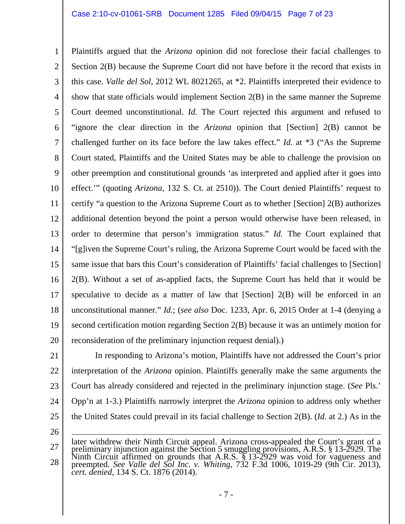#### Case 2:10-cv-01061-SRB Document 1285 Filed 09/04/15 Page 7 of 23

1 2 3 4 5 6 7 8 9 10 11 12 13 14 15 16 17 18 19 20 Plaintiffs argued that the *Arizona* opinion did not foreclose their facial challenges to Section 2(B) because the Supreme Court did not have before it the record that exists in this case. *Valle del Sol*, 2012 WL 8021265, at \*2. Plaintiffs interpreted their evidence to show that state officials would implement Section 2(B) in the same manner the Supreme Court deemed unconstitutional. *Id.* The Court rejected this argument and refused to "ignore the clear direction in the *Arizona* opinion that [Section] 2(B) cannot be challenged further on its face before the law takes effect." *Id.* at \*3 ("As the Supreme Court stated, Plaintiffs and the United States may be able to challenge the provision on other preemption and constitutional grounds 'as interpreted and applied after it goes into effect.'" (quoting *Arizona*, 132 S. Ct. at 2510)). The Court denied Plaintiffs' request to certify "a question to the Arizona Supreme Court as to whether [Section] 2(B) authorizes additional detention beyond the point a person would otherwise have been released, in order to determine that person's immigration status." *Id.* The Court explained that "[g]iven the Supreme Court's ruling, the Arizona Supreme Court would be faced with the same issue that bars this Court's consideration of Plaintiffs' facial challenges to [Section] 2(B). Without a set of as-applied facts, the Supreme Court has held that it would be speculative to decide as a matter of law that [Section] 2(B) will be enforced in an unconstitutional manner." *Id.*; (*see also* Doc. 1233, Apr. 6, 2015 Order at 1-4 (denying a second certification motion regarding Section 2(B) because it was an untimely motion for reconsideration of the preliminary injunction request denial).)

21 22 23 24 25 In responding to Arizona's motion, Plaintiffs have not addressed the Court's prior interpretation of the *Arizona* opinion. Plaintiffs generally make the same arguments the Court has already considered and rejected in the preliminary injunction stage. (*See* Pls.' Opp'n at 1-3.) Plaintiffs narrowly interpret the *Arizona* opinion to address only whether the United States could prevail in its facial challenge to Section 2(B). (*Id.* at 2.) As in the

26

<sup>27</sup>  28 later withdrew their Ninth Circuit appeal. Arizona cross-appealed the Court's grant of a preliminary injunction against the Section 5 smuggling provisions, A.R.S. § 13-2929. The Ninth Circuit affirmed on grounds that A.R.S. § 13-2929 was void for vagueness and preempted. *See Valle del Sol Inc. v. Whiting*, 732 F.3d 1006, 1019-29 (9th Cir. 2013), *cert. denied*, 134 S. Ct. 1876 (2014).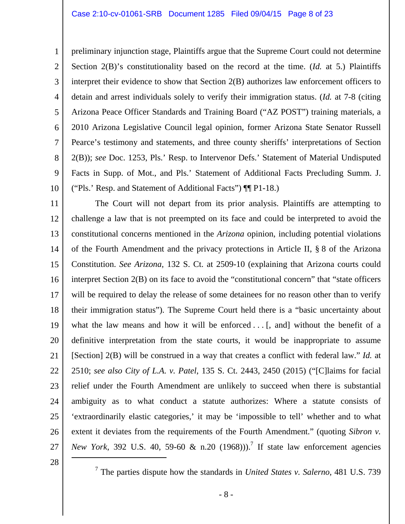1 2 3 4 5 6 7 8 9 10 preliminary injunction stage, Plaintiffs argue that the Supreme Court could not determine Section 2(B)'s constitutionality based on the record at the time. (*Id.* at 5.) Plaintiffs interpret their evidence to show that Section 2(B) authorizes law enforcement officers to detain and arrest individuals solely to verify their immigration status. (*Id.* at 7-8 (citing Arizona Peace Officer Standards and Training Board ("AZ POST") training materials, a 2010 Arizona Legislative Council legal opinion, former Arizona State Senator Russell Pearce's testimony and statements, and three county sheriffs' interpretations of Section 2(B)); *see* Doc. 1253, Pls.' Resp. to Intervenor Defs.' Statement of Material Undisputed Facts in Supp. of Mot., and Pls.' Statement of Additional Facts Precluding Summ. J. ("Pls.' Resp. and Statement of Additional Facts") ¶¶ P1-18.)

11 12 13 14 15 16 17 18 19 20 21 22 23 24 25 26 27 The Court will not depart from its prior analysis. Plaintiffs are attempting to challenge a law that is not preempted on its face and could be interpreted to avoid the constitutional concerns mentioned in the *Arizona* opinion, including potential violations of the Fourth Amendment and the privacy protections in Article II, § 8 of the Arizona Constitution. *See Arizona*, 132 S. Ct. at 2509-10 (explaining that Arizona courts could interpret Section 2(B) on its face to avoid the "constitutional concern" that "state officers will be required to delay the release of some detainees for no reason other than to verify their immigration status"). The Supreme Court held there is a "basic uncertainty about what the law means and how it will be enforced  $\dots$  [, and] without the benefit of a definitive interpretation from the state courts, it would be inappropriate to assume [Section] 2(B) will be construed in a way that creates a conflict with federal law." *Id.* at 2510; *see also City of L.A. v. Patel*, 135 S. Ct. 2443, 2450 (2015) ("[C]laims for facial relief under the Fourth Amendment are unlikely to succeed when there is substantial ambiguity as to what conduct a statute authorizes: Where a statute consists of 'extraordinarily elastic categories,' it may be 'impossible to tell' whether and to what extent it deviates from the requirements of the Fourth Amendment." (quoting *Sibron v. New York*, 392 U.S. 40, 59-60 & n.20  $(1968))$ .<sup>7</sup> If state law enforcement agencies

28

7 The parties dispute how the standards in *United States v. Salerno*, 481 U.S. 739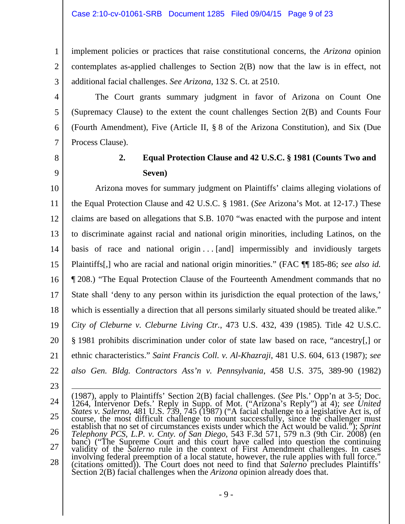implement policies or practices that raise constitutional concerns, the *Arizona* opinion contemplates as-applied challenges to Section 2(B) now that the law is in effect, not additional facial challenges. *See Arizona*, 132 S. Ct. at 2510.

 The Court grants summary judgment in favor of Arizona on Count One (Supremacy Clause) to the extent the count challenges Section 2(B) and Counts Four (Fourth Amendment), Five (Article II, § 8 of the Arizona Constitution), and Six (Due Process Clause).

8

1

2

3

4

5

6

7

9

# **2. Equal Protection Clause and 42 U.S.C. § 1981 (Counts Two and Seven)**

10 11 12 13 14 15 16 17 18 19 20 21 22 Arizona moves for summary judgment on Plaintiffs' claims alleging violations of the Equal Protection Clause and 42 U.S.C. § 1981. (*See* Arizona's Mot. at 12-17.) These claims are based on allegations that S.B. 1070 "was enacted with the purpose and intent to discriminate against racial and national origin minorities, including Latinos, on the basis of race and national origin  $\ldots$  [and] impermissibly and invidiously targets Plaintiffs[,] who are racial and national origin minorities." (FAC ¶¶ 185-86; *see also id.*  ¶ 208.) "The Equal Protection Clause of the Fourteenth Amendment commands that no State shall 'deny to any person within its jurisdiction the equal protection of the laws,' which is essentially a direction that all persons similarly situated should be treated alike." *City of Cleburne v. Cleburne Living Ctr.*, 473 U.S. 432, 439 (1985). Title 42 U.S.C. § 1981 prohibits discrimination under color of state law based on race, "ancestry[,] or ethnic characteristics." *Saint Francis Coll. v. Al-Khazraji*, 481 U.S. 604, 613 (1987); *see also Gen. Bldg. Contractors Ass'n v. Pennsylvania*, 458 U.S. 375, 389-90 (1982)

23

24 25 26 27 28 (1987), apply to Plaintiffs' Section 2(B) facial challenges. (*See* Pls.' Opp'n at 3-5; Doc. 1264, Intervenor Defs.' Reply in Supp. of Mot. ("Arizona's Reply") at 4); *see United States v. Salerno*, 481 U.S. 739, 745 (1987) ("A facial challenge to a legislative Act is, of course, the most difficult challenge to mount successfully, since the challenger must establish that no set of circumstances exists under which the Act would be valid."); *Sprint Telephony PCS, L.P. v. Cnty. of San Diego*, 543 F.3d 571, 579 n.3 (9th Cir. 2008) (en banc) ("The Supreme Court and this court have called into question the continuing validity of the *Salerno* rule in the context of First Amendment challenges. In cases involving federal preemption of a local statute, howev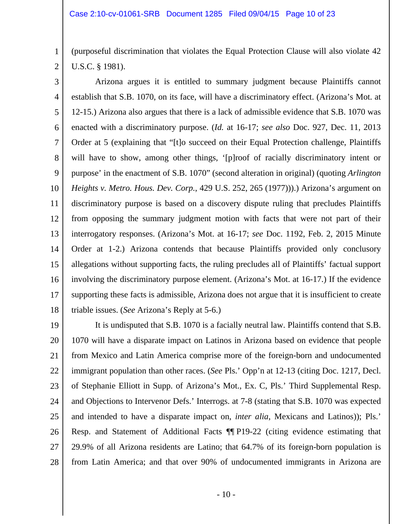1 2 (purposeful discrimination that violates the Equal Protection Clause will also violate 42 U.S.C. § 1981).

3 4 5 6 7 8 9 10 11 12 13 14 15 16 17 18 Arizona argues it is entitled to summary judgment because Plaintiffs cannot establish that S.B. 1070, on its face, will have a discriminatory effect. (Arizona's Mot. at 12-15.) Arizona also argues that there is a lack of admissible evidence that S.B. 1070 was enacted with a discriminatory purpose. (*Id.* at 16-17; *see also* Doc. 927, Dec. 11, 2013 Order at 5 (explaining that "[t]o succeed on their Equal Protection challenge, Plaintiffs will have to show, among other things, '[p]roof of racially discriminatory intent or purpose' in the enactment of S.B. 1070" (second alteration in original) (quoting *Arlington Heights v. Metro. Hous. Dev. Corp.*, 429 U.S. 252, 265 (1977))).) Arizona's argument on discriminatory purpose is based on a discovery dispute ruling that precludes Plaintiffs from opposing the summary judgment motion with facts that were not part of their interrogatory responses. (Arizona's Mot. at 16-17; *see* Doc. 1192, Feb. 2, 2015 Minute Order at 1-2.) Arizona contends that because Plaintiffs provided only conclusory allegations without supporting facts, the ruling precludes all of Plaintiffs' factual support involving the discriminatory purpose element. (Arizona's Mot. at 16-17.) If the evidence supporting these facts is admissible, Arizona does not argue that it is insufficient to create triable issues. (*See* Arizona's Reply at 5-6.)

19 20 21 22 23 24 25 26 27 28 It is undisputed that S.B. 1070 is a facially neutral law. Plaintiffs contend that S.B. 1070 will have a disparate impact on Latinos in Arizona based on evidence that people from Mexico and Latin America comprise more of the foreign-born and undocumented immigrant population than other races. (*See* Pls.' Opp'n at 12-13 (citing Doc. 1217, Decl. of Stephanie Elliott in Supp. of Arizona's Mot., Ex. C, Pls.' Third Supplemental Resp. and Objections to Intervenor Defs.' Interrogs. at 7-8 (stating that S.B. 1070 was expected and intended to have a disparate impact on, *inter alia*, Mexicans and Latinos)); Pls.' Resp. and Statement of Additional Facts ¶¶ P19-22 (citing evidence estimating that 29.9% of all Arizona residents are Latino; that 64.7% of its foreign-born population is from Latin America; and that over 90% of undocumented immigrants in Arizona are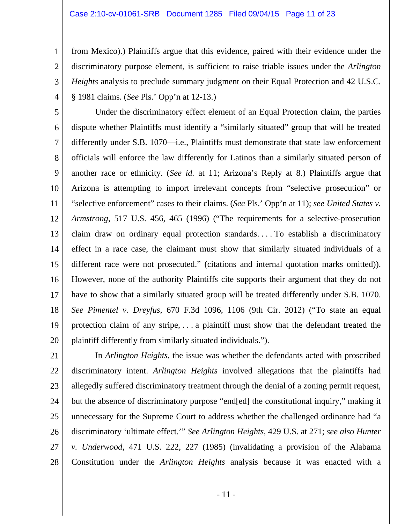#### Case 2:10-cv-01061-SRB Document 1285 Filed 09/04/15 Page 11 of 23

1

2

3

4

from Mexico).) Plaintiffs argue that this evidence, paired with their evidence under the discriminatory purpose element, is sufficient to raise triable issues under the *Arlington Heights* analysis to preclude summary judgment on their Equal Protection and 42 U.S.C. § 1981 claims. (*See* Pls.' Opp'n at 12-13.)

5 6 7 8 9 10 11 12 13 14 15 16 17 18 19 20 Under the discriminatory effect element of an Equal Protection claim, the parties dispute whether Plaintiffs must identify a "similarly situated" group that will be treated differently under S.B. 1070—i.e., Plaintiffs must demonstrate that state law enforcement officials will enforce the law differently for Latinos than a similarly situated person of another race or ethnicity. (*See id.* at 11; Arizona's Reply at 8.) Plaintiffs argue that Arizona is attempting to import irrelevant concepts from "selective prosecution" or "selective enforcement" cases to their claims. (*See* Pls.' Opp'n at 11); *see United States v. Armstrong*, 517 U.S. 456, 465 (1996) ("The requirements for a selective-prosecution claim draw on ordinary equal protection standards. . . . To establish a discriminatory effect in a race case, the claimant must show that similarly situated individuals of a different race were not prosecuted." (citations and internal quotation marks omitted)). However, none of the authority Plaintiffs cite supports their argument that they do not have to show that a similarly situated group will be treated differently under S.B. 1070. *See Pimentel v. Dreyfus*, 670 F.3d 1096, 1106 (9th Cir. 2012) ("To state an equal protection claim of any stripe, . . . a plaintiff must show that the defendant treated the plaintiff differently from similarly situated individuals.").

21 22 23 24 25 26 27 28 In *Arlington Heights*, the issue was whether the defendants acted with proscribed discriminatory intent. *Arlington Heights* involved allegations that the plaintiffs had allegedly suffered discriminatory treatment through the denial of a zoning permit request, but the absence of discriminatory purpose "end[ed] the constitutional inquiry," making it unnecessary for the Supreme Court to address whether the challenged ordinance had "a discriminatory 'ultimate effect.'" *See Arlington Heights*, 429 U.S. at 271; *see also Hunter v. Underwood*, 471 U.S. 222, 227 (1985) (invalidating a provision of the Alabama Constitution under the *Arlington Heights* analysis because it was enacted with a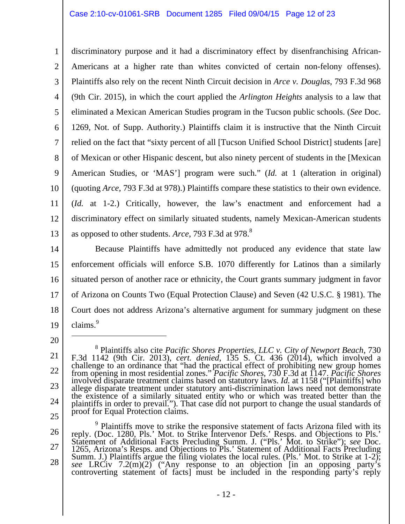### Case 2:10-cv-01061-SRB Document 1285 Filed 09/04/15 Page 12 of 23

1 2 3 4 5 6 7 8 9 10 11 12 13 discriminatory purpose and it had a discriminatory effect by disenfranchising African-Americans at a higher rate than whites convicted of certain non-felony offenses). Plaintiffs also rely on the recent Ninth Circuit decision in *Arce v. Douglas*, 793 F.3d 968 (9th Cir. 2015), in which the court applied the *Arlington Heights* analysis to a law that eliminated a Mexican American Studies program in the Tucson public schools. (*See* Doc. 1269, Not. of Supp. Authority.) Plaintiffs claim it is instructive that the Ninth Circuit relied on the fact that "sixty percent of all [Tucson Unified School District] students [are] of Mexican or other Hispanic descent, but also ninety percent of students in the [Mexican American Studies, or 'MAS'] program were such." (*Id.* at 1 (alteration in original) (quoting *Arce*, 793 F.3d at 978).) Plaintiffs compare these statistics to their own evidence. (*Id.* at 1-2.) Critically, however, the law's enactment and enforcement had a discriminatory effect on similarly situated students, namely Mexican-American students as opposed to other students. *Arce*, 793 F.3d at 978.8

14 15 16 17 18 19 Because Plaintiffs have admittedly not produced any evidence that state law enforcement officials will enforce S.B. 1070 differently for Latinos than a similarly situated person of another race or ethnicity, the Court grants summary judgment in favor of Arizona on Counts Two (Equal Protection Clause) and Seven (42 U.S.C. § 1981). The Court does not address Arizona's alternative argument for summary judgment on these  $clains.<sup>9</sup>$ 

20

 $\overline{a}$ 

26 27 28 <sup>9</sup> Plaintiffs move to strike the responsive statement of facts Arizona filed with its reply. (Doc. 1280, Pls.' Mot. to Strike Intervenor Defs.' Resps. and Objections to Pls.' Statement of Additional Facts Precluding Summ. J. ("Pls.' Mot. to Strike"); *see* Doc. 1265, Arizona's Resps. and Objections to Pls.' Statement of Additional Facts Precluding Summ. J.) Plaintiffs argue the filing violates the local rules. (Pls.' Mot. to Strike at 1-2); *see* LRCiv 7.2(m)(2) ("Any response to an objection [in an opposing party's controverting statement of facts] must be included in the responding party's reply

<sup>21</sup>  22 23 24 25 8 Plaintiffs also cite *Pacific Shores Properties, LLC v. City of Newport Beach*, 730 F.3d 1142 (9th Cir. 2013), *cert. denied*, 135 S. Ct. 436 (2014), which involved a challenge to an ordinance that "had the practical effect of prohibiting new group homes<br>from opening in most residential zones." *Pacific Shores*, 730 F.3d at 1147. *Pacific Shores*<br>involved disparate treatment claims base allege disparate treatment under statutory anti-discrimination laws need not demonstrate the existence of a similarly situated entity who or which was treated better than the plaintiffs in order to prevail."). That case did not purport to change the usual standards of proof for Equal Protection claims.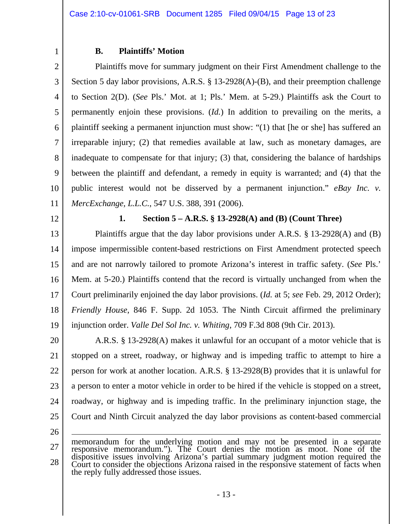### **B. Plaintiffs' Motion**

2 3 4 5 6 7 8 9 10 11 Plaintiffs move for summary judgment on their First Amendment challenge to the Section 5 day labor provisions, A.R.S. § 13-2928(A)-(B), and their preemption challenge to Section 2(D). (*See* Pls.' Mot. at 1; Pls.' Mem. at 5-29.) Plaintiffs ask the Court to permanently enjoin these provisions. (*Id.*) In addition to prevailing on the merits, a plaintiff seeking a permanent injunction must show: "(1) that [he or she] has suffered an irreparable injury; (2) that remedies available at law, such as monetary damages, are inadequate to compensate for that injury; (3) that, considering the balance of hardships between the plaintiff and defendant, a remedy in equity is warranted; and (4) that the public interest would not be disserved by a permanent injunction." *eBay Inc. v. MercExchange, L.L.C.*, 547 U.S. 388, 391 (2006).

12

26

1

### **1. Section 5 – A.R.S. § 13-2928(A) and (B) (Count Three)**

13 14 15 16 17 18 19 Plaintiffs argue that the day labor provisions under A.R.S. § 13-2928(A) and (B) impose impermissible content-based restrictions on First Amendment protected speech and are not narrowly tailored to promote Arizona's interest in traffic safety. (*See* Pls.' Mem. at 5-20.) Plaintiffs contend that the record is virtually unchanged from when the Court preliminarily enjoined the day labor provisions. (*Id.* at 5; *see* Feb. 29, 2012 Order); *Friendly House*, 846 F. Supp. 2d 1053. The Ninth Circuit affirmed the preliminary injunction order. *Valle Del Sol Inc. v. Whiting*, 709 F.3d 808 (9th Cir. 2013).

20 21 22 23 24 25 A.R.S. § 13-2928(A) makes it unlawful for an occupant of a motor vehicle that is stopped on a street, roadway, or highway and is impeding traffic to attempt to hire a person for work at another location. A.R.S. § 13-2928(B) provides that it is unlawful for a person to enter a motor vehicle in order to be hired if the vehicle is stopped on a street, roadway, or highway and is impeding traffic. In the preliminary injunction stage, the Court and Ninth Circuit analyzed the day labor provisions as content-based commercial

27 28 memorandum for the underlying motion and may not be presented in a separate responsive memorandum."). The Court denies the motion as moot. None of the dispositive issues involving Arizona's partial summary judgment motion required the Court to consider the objections Arizona raised in the responsive statement of facts when the reply fully addressed those issues.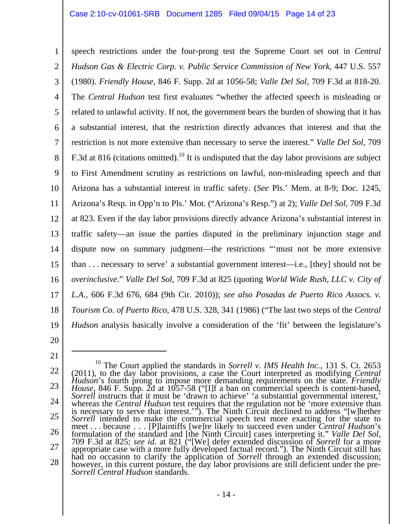#### Case 2:10-cv-01061-SRB Document 1285 Filed 09/04/15 Page 14 of 23

1 2 3 4 5 6 7 8 9 10 11 12 13 14 15 16 17 18 19 speech restrictions under the four-prong test the Supreme Court set out in *Central Hudson Gas & Electric Corp. v. Public Service Commission of New York*, 447 U.S. 557 (1980). *Friendly House*, 846 F. Supp. 2d at 1056-58; *Valle Del Sol*, 709 F.3d at 818-20. The *Central Hudson* test first evaluates "whether the affected speech is misleading or related to unlawful activity. If not, the government bears the burden of showing that it has a substantial interest, that the restriction directly advances that interest and that the restriction is not more extensive than necessary to serve the interest." *Valle Del Sol*, 709 F.3d at 816 (citations omitted).<sup>10</sup> It is undisputed that the day labor provisions are subject to First Amendment scrutiny as restrictions on lawful, non-misleading speech and that Arizona has a substantial interest in traffic safety. (*See* Pls.' Mem. at 8-9; Doc. 1245, Arizona's Resp. in Opp'n to Pls.' Mot. ("Arizona's Resp.") at 2); *Valle Del Sol*, 709 F.3d at 823. Even if the day labor provisions directly advance Arizona's substantial interest in traffic safety—an issue the parties disputed in the preliminary injunction stage and dispute now on summary judgment—the restrictions "'must not be more extensive than . . . necessary to serve' a substantial government interest—i.e., [they] should not be *overinclusive*." *Valle Del Sol*, 709 F.3d at 825 (quoting *World Wide Rush, LLC v. City of L.A.*, 606 F.3d 676, 684 (9th Cir. 2010)); *see also Posadas de Puerto Rico Assocs. v. Tourism Co. of Puerto Rico*, 478 U.S. 328, 341 (1986) ("The last two steps of the *Central Hudson* analysis basically involve a consideration of the 'fit' between the legislature's

20

21

<sup>22</sup>  23 24 25 26 27 28 <sup>10</sup> The Court applied the standards in *Sorrell v. IMS Health Inc.*, 131 S. Ct. 2653 (2011), to the day labor provisions, a case the Court interpreted as modifying *Central Hudson*'s fourth prong to impose more demanding requirements on the state. *Friendly*  House, 846 F. Supp. 2d at 1057-58 ("[I]f a ban on commercial speech is content-based, Sorrell instructs that it must be 'drawn to achieve' 'a substantial governmental interest,' whereas the *Central Hudson* test requires t is necessary to serve that interest.'"). The Ninth Circuit declined to address "[w]hether *Sorrell* intended to make the commercial speech test more exacting for the state to meet . . . because . . . [P]laintiffs [we]re likely to succeed even under *Central Hudson*'s formulation of the standard and [the Ninth Circuit] cases interpreting it." *Valle Del Sol*, 709 F.3d at 825; *see id.* at 821 ("[We] defer extended discussion of *Sorrell* for a more 709 F.3d at 825; see id. at 821 ("[We] defer extended discussion of *Sorrell* for a more appropriate case with a more fully developed factual record."). The Ninth Circuit still has had no occasion to clarify the applicati however, in this current posture, the day labor provisions are still deficient under the pre-<br>Sorrell Central Hudson standards.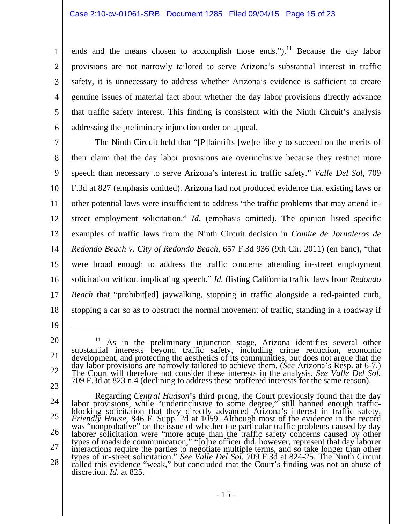#### Case 2:10-cv-01061-SRB Document 1285 Filed 09/04/15 Page 15 of 23

4 6 ends and the means chosen to accomplish those ends." $)$ .<sup>11</sup> Because the day labor provisions are not narrowly tailored to serve Arizona's substantial interest in traffic safety, it is unnecessary to address whether Arizona's evidence is sufficient to create genuine issues of material fact about whether the day labor provisions directly advance that traffic safety interest. This finding is consistent with the Ninth Circuit's analysis addressing the preliminary injunction order on appeal.

7 8 9 10 11 12 13 14 15 16 17 18 The Ninth Circuit held that "[P]laintiffs [we]re likely to succeed on the merits of their claim that the day labor provisions are overinclusive because they restrict more speech than necessary to serve Arizona's interest in traffic safety." *Valle Del Sol*, 709 F.3d at 827 (emphasis omitted). Arizona had not produced evidence that existing laws or other potential laws were insufficient to address "the traffic problems that may attend instreet employment solicitation." *Id.* (emphasis omitted). The opinion listed specific examples of traffic laws from the Ninth Circuit decision in *Comite de Jornaleros de Redondo Beach v. City of Redondo Beach*, 657 F.3d 936 (9th Cir. 2011) (en banc), "that were broad enough to address the traffic concerns attending in-street employment solicitation without implicating speech." *Id.* (listing California traffic laws from *Redondo Beach* that "prohibit[ed] jaywalking, stopping in traffic alongside a red-painted curb, stopping a car so as to obstruct the normal movement of traffic, standing in a roadway if

19

 $\overline{a}$ 

1

2

3

5

23

24 25 26 27 28 Regarding *Central Hudson's* third prong, the Court previously found that the day<br>labor provisions, while "underinclusive to some degree," still banned enough traffic-<br>blocking solicitation that they directly advanced Ariz was "nonprobative" on the issue of whether the particular traffic problems caused by day<br>laborer solicitation were "more acute than the traffic safety concerns caused by other<br>types of roadside communication," "[o]ne offic called this evidence "weak," but concluded that the Court's finding was not an abuse of discretion. *Id.* at 825.

<sup>20</sup>  21 22 <sup>11</sup> As in the preliminary injunction stage, Arizona identifies several other substantial interests beyond traffic safety, including crime reduction, economic development, and protecting the aesthetics of its communities,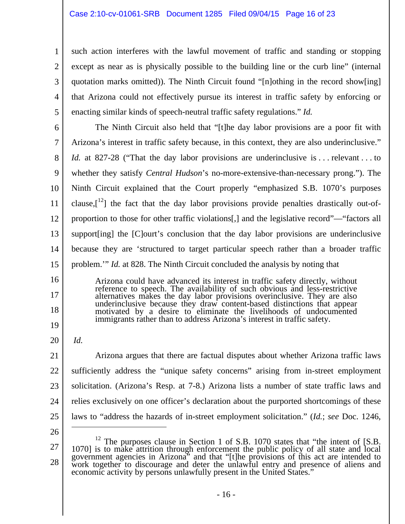such action interferes with the lawful movement of traffic and standing or stopping except as near as is physically possible to the building line or the curb line" (internal quotation marks omitted)). The Ninth Circuit found "[n]othing in the record show[ing] that Arizona could not effectively pursue its interest in traffic safety by enforcing or enacting similar kinds of speech-neutral traffic safety regulations." *Id.* 

6 7 8 9 10 11 12 13 14 15 The Ninth Circuit also held that "[t]he day labor provisions are a poor fit with Arizona's interest in traffic safety because, in this context, they are also underinclusive." *Id.* at 827-28 ("That the day labor provisions are underinclusive is ... relevant ... to whether they satisfy *Central Hudson*'s no-more-extensive-than-necessary prong."). The Ninth Circuit explained that the Court properly "emphasized S.B. 1070's purposes clause, $\left[\begin{array}{c}1^2\end{array}\right]$  the fact that the day labor provisions provide penalties drastically out-ofproportion to those for other traffic violations[,] and the legislative record"—"factors all support[ing] the [C]ourt's conclusion that the day labor provisions are underinclusive because they are 'structured to target particular speech rather than a broader traffic problem.'" *Id.* at 828. The Ninth Circuit concluded the analysis by noting that

Arizona could have advanced its interest in traffic safety directly, without reference to speech. The availability of such obvious and less-restrictive alternatives makes the day labor provisions overinclusive. They are also underinclusive because they draw content-based distinctions that appear motivated by a desire to eliminate the livelihoods of undocumented immigrants rather than to address Arizona's interest in traffic safety.

20

*Id.*

16

17

18

19

1

2

3

4

5

21 22 23 24 25 Arizona argues that there are factual disputes about whether Arizona traffic laws sufficiently address the "unique safety concerns" arising from in-street employment solicitation. (Arizona's Resp. at 7-8.) Arizona lists a number of state traffic laws and relies exclusively on one officer's declaration about the purported shortcomings of these laws to "address the hazards of in-street employment solicitation." (*Id.*; *see* Doc. 1246,  $\overline{a}$ 

26

<sup>27</sup>  28  $1070$  is to make attrition through enforcement the public policy of all state and local 1070] is to make attrition through enforcement the public policy of all state and local government agencies in Arizona" and that "[t]he provisions of this act are intended to work together to discourage and deter the unlawful entry and presence of aliens and economic activity by persons unlawfully present in the United States."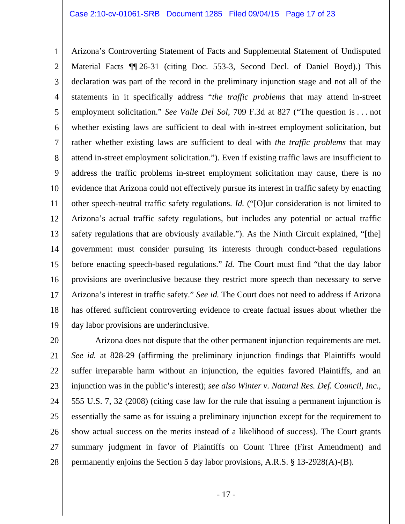#### Case 2:10-cv-01061-SRB Document 1285 Filed 09/04/15 Page 17 of 23

1 2 3 4 5 6 7 8 9 10 11 12 13 14 15 16 17 18 19 Arizona's Controverting Statement of Facts and Supplemental Statement of Undisputed Material Facts *¶*¶ 26-31 (citing Doc. 553-3, Second Decl. of Daniel Boyd).) This declaration was part of the record in the preliminary injunction stage and not all of the statements in it specifically address "*the traffic problems* that may attend in-street employment solicitation." *See Valle Del Sol*, 709 F.3d at 827 ("The question is . . . not whether existing laws are sufficient to deal with in-street employment solicitation, but rather whether existing laws are sufficient to deal with *the traffic problems* that may attend in-street employment solicitation."). Even if existing traffic laws are insufficient to address the traffic problems in-street employment solicitation may cause, there is no evidence that Arizona could not effectively pursue its interest in traffic safety by enacting other speech-neutral traffic safety regulations. *Id.* ("[O]ur consideration is not limited to Arizona's actual traffic safety regulations, but includes any potential or actual traffic safety regulations that are obviously available."). As the Ninth Circuit explained, "[the] government must consider pursuing its interests through conduct-based regulations before enacting speech-based regulations." *Id.* The Court must find "that the day labor provisions are overinclusive because they restrict more speech than necessary to serve Arizona's interest in traffic safety." *See id.* The Court does not need to address if Arizona has offered sufficient controverting evidence to create factual issues about whether the day labor provisions are underinclusive.

20 21 22 23 24 25 26 27 28 Arizona does not dispute that the other permanent injunction requirements are met. *See id.* at 828-29 (affirming the preliminary injunction findings that Plaintiffs would suffer irreparable harm without an injunction, the equities favored Plaintiffs, and an injunction was in the public's interest); *see also Winter v. Natural Res. Def. Council, Inc.*, 555 U.S. 7, 32 (2008) (citing case law for the rule that issuing a permanent injunction is essentially the same as for issuing a preliminary injunction except for the requirement to show actual success on the merits instead of a likelihood of success). The Court grants summary judgment in favor of Plaintiffs on Count Three (First Amendment) and permanently enjoins the Section 5 day labor provisions, A.R.S. § 13-2928(A)-(B).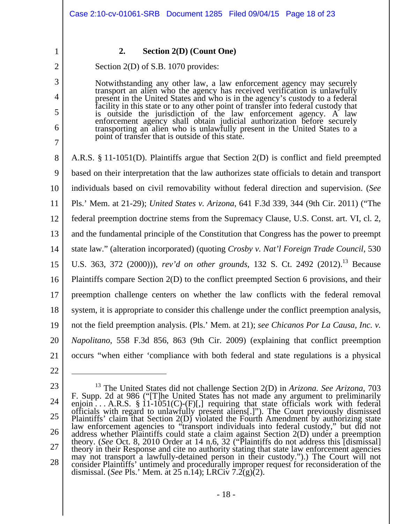2

3

4

5

6

7

1

### **2. Section 2(D) (Count One)**

Section 2(D) of S.B. 1070 provides:

Notwithstanding any other law, a law enforcement agency may securely<br>transport an alien who the agency has received verification is unlawfully<br>present in the United States and who is in the agency's custody to a federal<br>fa point of transfer that is outside of this state.

8 9 10 11 12 13 14 15 16 17 18 19 20 21 A.R.S. § 11-1051(D). Plaintiffs argue that Section 2(D) is conflict and field preempted based on their interpretation that the law authorizes state officials to detain and transport individuals based on civil removability without federal direction and supervision. (*See*  Pls.' Mem. at 21-29); *United States v. Arizona*, 641 F.3d 339, 344 (9th Cir. 2011) ("The federal preemption doctrine stems from the Supremacy Clause, U.S. Const. art. VI, cl. 2, and the fundamental principle of the Constitution that Congress has the power to preempt state law." (alteration incorporated) (quoting *Crosby v. Nat'l Foreign Trade Council*, 530 U.S. 363, 372 (2000))), *rev'd on other grounds*, 132 S. Ct. 2492 (2012).<sup>13</sup> Because Plaintiffs compare Section 2(D) to the conflict preempted Section 6 provisions, and their preemption challenge centers on whether the law conflicts with the federal removal system, it is appropriate to consider this challenge under the conflict preemption analysis, not the field preemption analysis. (Pls.' Mem. at 21); *see Chicanos Por La Causa, Inc. v. Napolitano*, 558 F.3d 856, 863 (9th Cir. 2009) (explaining that conflict preemption occurs "when either 'compliance with both federal and state regulations is a physical

22

<sup>23</sup>  24 25 26 27 28 <sup>13</sup> The United States did not challenge Section 2(D) in *Arizona. See Arizona*, 703 F. Supp. 2d at 986 ("[T]he United States has not made any argument to preliminarily enjoin . . . A.R.S. § 11-1051(C)-(F)[,] requiring that state officials work with federal officials with regard to unlawfully present aliens[.]"). The Court previously dismissed<br>Plaintiffs' claim that Section 2(D) violated the Fourth Amendment by authorizing state<br>law enforcement agencies to "transport individu theory in their Response and cite no authority stating that state law enforcement agencies<br>may not transport a lawfully-detained person in their custody.").) The Court will not<br>consider Plaintiffs' untimely and procedurall dismissal. (*See* Pls.' Mem. at 25 n.14); LRCiv 7.2(g)(2).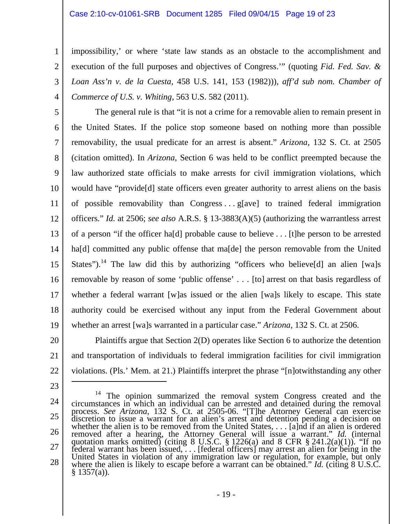#### Case 2:10-cv-01061-SRB Document 1285 Filed 09/04/15 Page 19 of 23

impossibility,' or where 'state law stands as an obstacle to the accomplishment and execution of the full purposes and objectives of Congress.'" (quoting *Fid. Fed. Sav. & Loan Ass'n v. de la Cuesta*, 458 U.S. 141, 153 (1982))), *aff'd sub nom. Chamber of Commerce of U.S. v. Whiting*, 563 U.S. 582 (2011).

5 6 7 8 9 10 11 12 13 14 15 16 17 18 19 The general rule is that "it is not a crime for a removable alien to remain present in the United States. If the police stop someone based on nothing more than possible removability, the usual predicate for an arrest is absent." *Arizona*, 132 S. Ct. at 2505 (citation omitted). In *Arizona*, Section 6 was held to be conflict preempted because the law authorized state officials to make arrests for civil immigration violations, which would have "provide[d] state officers even greater authority to arrest aliens on the basis of possible removability than Congress . . . g[ave] to trained federal immigration officers." *Id.* at 2506; *see also* A.R.S. § 13-3883(A)(5) (authorizing the warrantless arrest of a person "if the officer ha[d] probable cause to believe . . . [t]he person to be arrested ha<sup>[d]</sup> committed any public offense that ma<sup>[de]</sup> the person removable from the United States").<sup>14</sup> The law did this by authorizing "officers who believe[d] an alien [wa]s removable by reason of some 'public offense' . . . [to] arrest on that basis regardless of whether a federal warrant [w]as issued or the alien [wa]s likely to escape. This state authority could be exercised without any input from the Federal Government about whether an arrest [wa]s warranted in a particular case." *Arizona*, 132 S. Ct. at 2506.

20 21 22 Plaintiffs argue that Section 2(D) operates like Section 6 to authorize the detention and transportation of individuals to federal immigration facilities for civil immigration violations. (Pls.' Mem. at 21.) Plaintiffs interpret the phrase "[n]otwithstanding any other  $\overline{a}$ 

23

1

2

3

4

24 25 26 27 28  $14$  The opinion summarized the removal system Congress created and the circumstances in which an individual can be arrested and detained during the removal process. *See Arizona*, 132 S. Ct. at 2505-06. "[T]he Attorney General can exercise discretion to issue a warrant for an alien's arrest and detention pending a decision on whether the alien is to be removed from the United States, . . . [a]nd if an alien is ordered removed after a hearing, the Attorney General will issue a warrant." *Id.* (internal quotation marks omitted) (citing 8 U.S.C.  $\S 1226(a)$  and 8 CFR  $\S 241.2(a)(1)$ ). "If no federal warrant has been issued, ... [federal officers] may arrest an alien for being in the United States in violation of any immigration law or regulation, for example, but only where the alien is likely to escape befor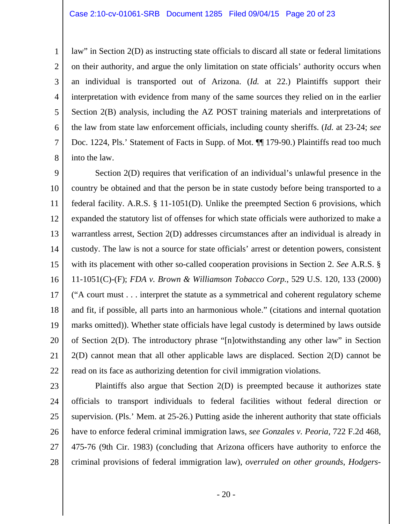2 3 4 5 6 7 8 law" in Section 2(D) as instructing state officials to discard all state or federal limitations on their authority, and argue the only limitation on state officials' authority occurs when an individual is transported out of Arizona. (*Id.* at 22.) Plaintiffs support their interpretation with evidence from many of the same sources they relied on in the earlier Section 2(B) analysis, including the AZ POST training materials and interpretations of the law from state law enforcement officials, including county sheriffs. (*Id.* at 23-24; *see*  Doc. 1224, Pls.' Statement of Facts in Supp. of Mot.  $\P$  179-90.) Plaintiffs read too much into the law.

9 10 11 12 13 14 15 16 17 18 19 20 21 22 Section 2(D) requires that verification of an individual's unlawful presence in the country be obtained and that the person be in state custody before being transported to a federal facility. A.R.S. § 11-1051(D). Unlike the preempted Section 6 provisions, which expanded the statutory list of offenses for which state officials were authorized to make a warrantless arrest, Section 2(D) addresses circumstances after an individual is already in custody. The law is not a source for state officials' arrest or detention powers, consistent with its placement with other so-called cooperation provisions in Section 2. *See* A.R.S. § 11-1051(C)-(F); *FDA v. Brown & Williamson Tobacco Corp.*, 529 U.S. 120, 133 (2000) ("A court must . . . interpret the statute as a symmetrical and coherent regulatory scheme and fit, if possible, all parts into an harmonious whole." (citations and internal quotation marks omitted)). Whether state officials have legal custody is determined by laws outside of Section 2(D). The introductory phrase "[n]otwithstanding any other law" in Section 2(D) cannot mean that all other applicable laws are displaced. Section 2(D) cannot be read on its face as authorizing detention for civil immigration violations.

24 25 26

1

23 27 28 Plaintiffs also argue that Section 2(D) is preempted because it authorizes state officials to transport individuals to federal facilities without federal direction or supervision. (Pls.' Mem. at 25-26.) Putting aside the inherent authority that state officials have to enforce federal criminal immigration laws, *see Gonzales v. Peoria*, 722 F.2d 468, 475-76 (9th Cir. 1983) (concluding that Arizona officers have authority to enforce the criminal provisions of federal immigration law), *overruled on other grounds*, *Hodgers-*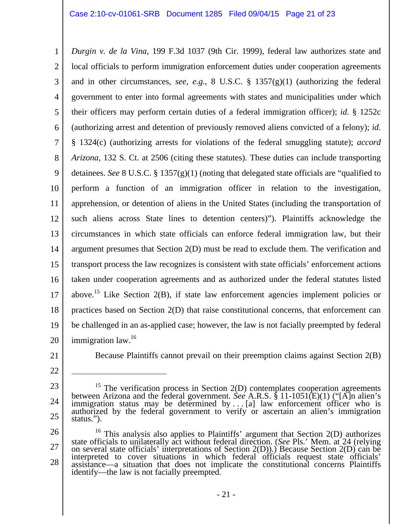1 2 3 4 5 6 7 8 9 10 11 12 13 14 15 16 17 18 19 20 *Durgin v. de la Vina*, 199 F.3d 1037 (9th Cir. 1999), federal law authorizes state and local officials to perform immigration enforcement duties under cooperation agreements and in other circumstances, *see, e.g.*, 8 U.S.C. § 1357(g)(1) (authorizing the federal government to enter into formal agreements with states and municipalities under which their officers may perform certain duties of a federal immigration officer); *id.* § 1252c (authorizing arrest and detention of previously removed aliens convicted of a felony); *id.* § 1324(c) (authorizing arrests for violations of the federal smuggling statute); *accord Arizona*, 132 S. Ct. at 2506 (citing these statutes). These duties can include transporting detainees. *See* 8 U.S.C. § 1357(g)(1) (noting that delegated state officials are "qualified to perform a function of an immigration officer in relation to the investigation, apprehension, or detention of aliens in the United States (including the transportation of such aliens across State lines to detention centers)"). Plaintiffs acknowledge the circumstances in which state officials can enforce federal immigration law, but their argument presumes that Section 2(D) must be read to exclude them. The verification and transport process the law recognizes is consistent with state officials' enforcement actions taken under cooperation agreements and as authorized under the federal statutes listed above.<sup>15</sup> Like Section 2(B), if state law enforcement agencies implement policies or practices based on Section 2(D) that raise constitutional concerns, that enforcement can be challenged in an as-applied case; however, the law is not facially preempted by federal immigration law.<sup>16</sup>

21

Because Plaintiffs cannot prevail on their preemption claims against Section 2(B)

<sup>22</sup> 

<sup>23</sup>  24 25 <sup>15</sup> The verification process in Section 2(D) contemplates cooperation agreements between Arizona and the federal government. *See* A.R.S. § 11-1051(E)(1) ("[A]n alien's immigration status may be determined by ... [a] law enforcement officer who is authorized by the federal government to verify or ascertain an alien's immigration status.").

<sup>26</sup>  27 28 <sup>16</sup> This analysis also applies to Plaintiffs' argument that Section 2(D) authorizes state officials to unilaterally act without federal direction. (*See* Pls.' Mem. at 24 (relying on several state officials' interpretati interpreted to cover situations in which federal officials request state officials' assistance—a situation that does not implicate the constitutional concerns Plaintiffs identify—the law is not facially preempted.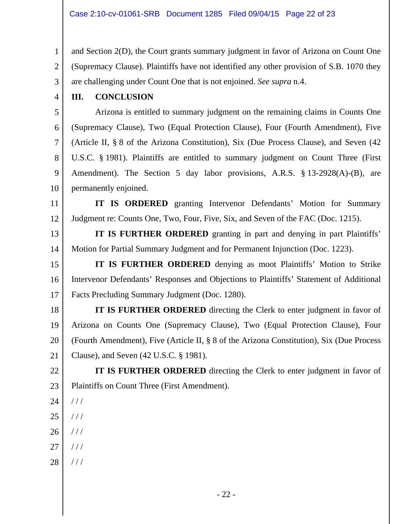1 2 3 and Section 2(D), the Court grants summary judgment in favor of Arizona on Count One (Supremacy Clause). Plaintiffs have not identified any other provision of S.B. 1070 they are challenging under Count One that is not enjoined. *See supra* n.4.

4

## **III. CONCLUSION**

5 6 7 8 9 10 Arizona is entitled to summary judgment on the remaining claims in Counts One (Supremacy Clause), Two (Equal Protection Clause), Four (Fourth Amendment), Five (Article II, § 8 of the Arizona Constitution), Six (Due Process Clause), and Seven (42 U.S.C. § 1981). Plaintiffs are entitled to summary judgment on Count Three (First Amendment). The Section 5 day labor provisions, A.R.S. § 13-2928(A)-(B), are permanently enjoined.

11 12 **IT IS ORDERED** granting Intervenor Defendants' Motion for Summary Judgment re: Counts One, Two, Four, Five, Six, and Seven of the FAC (Doc. 1215).

13 14 **IT IS FURTHER ORDERED** granting in part and denying in part Plaintiffs' Motion for Partial Summary Judgment and for Permanent Injunction (Doc. 1223).

15 16 17 **IT IS FURTHER ORDERED** denying as moot Plaintiffs' Motion to Strike Intervenor Defendants' Responses and Objections to Plaintiffs' Statement of Additional Facts Precluding Summary Judgment (Doc. 1280).

18 19 20 21 **IT IS FURTHER ORDERED** directing the Clerk to enter judgment in favor of Arizona on Counts One (Supremacy Clause), Two (Equal Protection Clause), Four (Fourth Amendment), Five (Article II, § 8 of the Arizona Constitution), Six (Due Process Clause), and Seven (42 U.S.C. § 1981).

22 23 **IT IS FURTHER ORDERED** directing the Clerk to enter judgment in favor of Plaintiffs on Count Three (First Amendment).

- 24  $1/1$
- 25  $//$
- 26 / / /
- 27 / / /
- 28 / / /